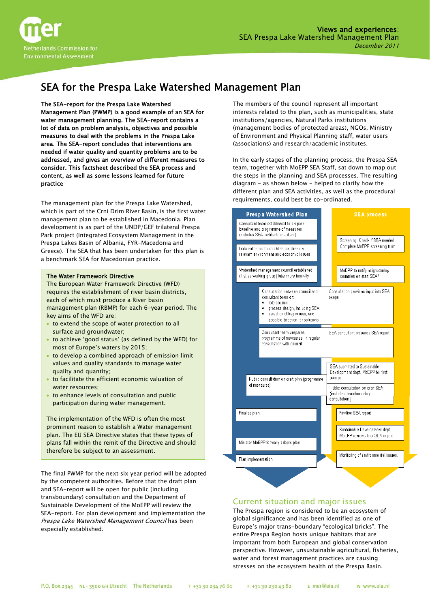

# SEA for the Prespa Lake Watershed Management Plan

#### The SEA-report for the Prespa Lake Watershed

Management Plan (PWMP) is a good example of an SEA for water management planning. The SEA-report contains a lot of data on problem analysis, objectives and possible measures to deal with the problems in the Prespa Lake area. The SEA-report concludes that interventions are needed if water quality and quantity problems are to be addressed, and gives an overview of different measures to consider. This factsheet described the SEA process and content, as well as some lessons learned for future practice

The management plan for the Prespa Lake Watershed, which is part of the Crni Drim River Basin, is the first water management plan to be established in Macedonia. Plan development is as part of the UNDP/GEF trilateral Prespa Park project (Integrated Ecosystem Management in the Prespa Lakes Basin of Albania, FYR-Macedonia and Greece). The SEA that has been undertaken for this plan is a benchmark SEA for Macedonian practice.

#### The Water Framework Directive

The European Water Framework Directive (WFD) requires the establishment of river basin districts, each of which must produce a River basin management plan (RBMP) for each 6-year period. The key aims of the WFD are:

- to extend the scope of water protection to all surface and groundwater;
- to achieve 'good status' (as defined by the WFD) for most of Europe's waters by 2015;
- to develop a combined approach of emission limit values and quality standards to manage water quality and quantity;
- to facilitate the efficient economic valuation of water resources;
- to enhance levels of consultation and public participation during water management.

The implementation of the WFD is often the most prominent reason to establish a Water management plan. The EU SEA Directive states that these types of plans fall within the remit of the Directive and should therefore be subject to an assessment.

The final PWMP for the next six year period will be adopted by the competent authorities. Before that the draft plan and SEA-report will be open for public (including transboundary) consultation and the Department of Sustainable Development of the MoEPP will review the SEA-report. For plan development and implementation the Prespa Lake Watershed Management Council has been especially established.

The members of the council represent all important interests related to the plan, such as municipalities, state institutions/agencies, Natural Parks institutions (management bodies of protected areas), NGOs, Ministry of Environment and Physical Planning staff, water users (associations) and research/academic institutes.

In the early stages of the planning process, the Prespa SEA team, together with MoEPP SEA Staff, sat down to map out the steps in the planning and SEA processes. The resulting diagram - as shown below - helped to clarify how the different plan and SEA activities, as well as the procedural requirements, could best be co-ordinated.

| Prespa Watershed Plan<br>Consultant team established to prepare<br>baseline and programme of measures<br>(includes SEA certified consultant) |                                                                                                                                                                                        |                                                                                | <b>SEA process</b>                                                                                     |  |  |
|----------------------------------------------------------------------------------------------------------------------------------------------|----------------------------------------------------------------------------------------------------------------------------------------------------------------------------------------|--------------------------------------------------------------------------------|--------------------------------------------------------------------------------------------------------|--|--|
| Data collection to establish baseline on<br>relevant environment and economic issues                                                         |                                                                                                                                                                                        |                                                                                | Screening: Check if SEA needed<br>Complete MoEPP screening form                                        |  |  |
| Watershed management council established<br>(first as working group) later more formally                                                     |                                                                                                                                                                                        |                                                                                | MoEPP to notify neighbouring<br>countries on start SEA?                                                |  |  |
|                                                                                                                                              | Consultation between council and<br>consultant team on:<br>role council<br>٠<br>process design, including SEA<br>٠<br>selection of key issues, and<br>possible direction for solutions | Consultation provides input into SEA<br>scope                                  |                                                                                                        |  |  |
| Consultant team prepares<br>programme of measures, in regular<br>consultation with council.                                                  |                                                                                                                                                                                        |                                                                                | SEA consultant prepares SEA report                                                                     |  |  |
| Public consultation on draft plan (programme<br>of measures)                                                                                 |                                                                                                                                                                                        | SEA submitted to Sustainable<br>Development dept. MoEPP for first<br>opinion   |                                                                                                        |  |  |
|                                                                                                                                              |                                                                                                                                                                                        | Public consultation on draft SEA<br>(including transboundary<br>consultation!) |                                                                                                        |  |  |
| Finalise plan                                                                                                                                |                                                                                                                                                                                        |                                                                                | Finalise SEA report                                                                                    |  |  |
| Minister MoEPP formally adopts plan                                                                                                          |                                                                                                                                                                                        |                                                                                | Sustainable Development dept.<br>MoEPP reviews final SEA report<br>Monitoring of environmental issues. |  |  |
| Plan implementation                                                                                                                          |                                                                                                                                                                                        |                                                                                |                                                                                                        |  |  |
|                                                                                                                                              |                                                                                                                                                                                        |                                                                                |                                                                                                        |  |  |

## Current situation and major issues

The Prespa region is considered to be an ecosystem of global significance and has been identified as one of Europe's major trans-boundary "ecological bricks". The entire Prespa Region hosts unique habitats that are important from both European and global conservation perspective. However, unsustainable agricultural, fisheries, water and forest management practices are causing stresses on the ecosystem health of the Prespa Basin.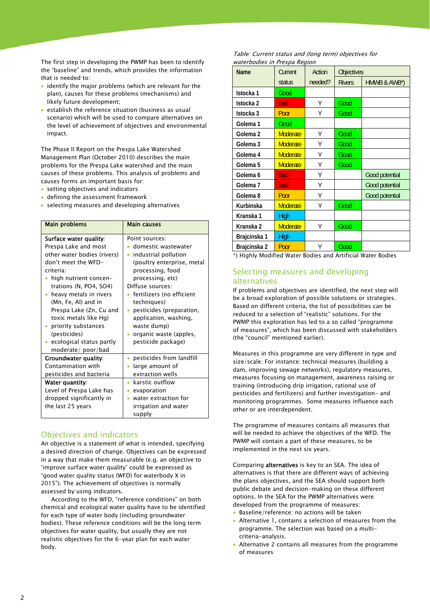the "baseline" and trends, which provides the information The first step in developing the PWMP has been to identify that is needed to:

- e identify the major problems (which are relevant for th plan), causes for these problems (mechanisms) and likely future development;
- the level of achievement of objectives and environmental impact. establish the reference situation (business as usual scenario) which will be used to compare alternatives on

causes of these problems. This analysis of problems and The Phase II Report on the Prespa Lake Watershed Management Plan (October 2010) describes the main problems for the Prespa Lake watershed and the main causes forms an important basis for:

- setting objectives and indicators
- defining the assessment framework
- selecting measures and developing alternatives

| <b>Main problems</b>        | <b>Main causes</b>         |  |  |  |
|-----------------------------|----------------------------|--|--|--|
| Surface water quality:      | Point sources:             |  |  |  |
| Prespa Lake and most        | domestic wastewater        |  |  |  |
| other water bodies (rivers) |                            |  |  |  |
| don't meet the WFD-         | • industrial pollution     |  |  |  |
|                             | (poultry enterprise, metal |  |  |  |
| criteria <sup>.</sup>       | processing, food           |  |  |  |
| high nutrient concen-       | processing, etc)           |  |  |  |
| trations (N, PO4, SO4)      | Diffuse sources:           |  |  |  |
| heavy metals in rivers      | fertilizers (no efficient  |  |  |  |
| (Mn, Fe, Al) and in         | techniques)                |  |  |  |
| Prespa Lake (Zn, Cu and     | pesticides (preparation,   |  |  |  |
| toxic metals like Hg)       | application, washing,      |  |  |  |
| • priority substances       | waste dump)                |  |  |  |
| (pesticides)                | organic waste (apples,     |  |  |  |
| • ecological status partly  | pesticide package)         |  |  |  |
| moderate/poor/bad           |                            |  |  |  |
| Groundwater quality:        | pesticides from landfill   |  |  |  |
| Contamination with          | large amount of            |  |  |  |
| pesticides and bacteria     | extraction wells           |  |  |  |
| Water quantity:             | $\bullet$ karstic outflow  |  |  |  |
| Level of Prespa Lake has    | evaporation                |  |  |  |
| dropped significantly in    | water extraction for       |  |  |  |
| the last 25 years           | irrigation and water       |  |  |  |
|                             | supply                     |  |  |  |

## Objectives and indicators

An objective is a statement of what is intended, specifying a desired direction of change. Objectives can be expressed in a way that make them measurable (e.g. an objective to 'improve surface water quality' could be expressed a s "good water quality status (WFD) for waterbody X in 2015"). The achievement of obj ectives is normally assessed by using indicators.

chemical and ecological water quality have to be identified bodies). These reference conditions will be the long term realistic objectives for the 6-year plan for each water body. According to the WFD, "reference conditions" on both for each type of water body (including groundwater objectives for water quality, but usually they are not

Table: Current status and (long term) objectives for waterbodies in Prespa Region

| <b>Name</b>          | Current         | Action  | <b>Objectives</b> |                |
|----------------------|-----------------|---------|-------------------|----------------|
|                      | status          | needed? | <b>Rivers</b>     | HMWB & AWB*)   |
| Istocka 1            | Good            |         |                   |                |
| Istocka <sub>2</sub> | <b>Bad</b>      | Υ       | Good              |                |
| Istocka <sub>3</sub> | Poor            | Υ       | Good              |                |
| Golema <sub>1</sub>  | Good            |         |                   |                |
| Golema 2             | <b>Moderate</b> | Υ       | Good              |                |
| Golema 3             | <b>Moderate</b> | Υ       | Good              |                |
| Golema <sub>4</sub>  | <b>Moderate</b> | Υ       | Good              |                |
| Golema <sub>5</sub>  | <b>Moderate</b> | Υ       | Good              |                |
| Golema 6             | <b>Bad</b>      | Υ       |                   | Good potential |
| Golema <sub>7</sub>  | <b>Bad</b>      | Υ       |                   | Good potential |
| Golema <sub>8</sub>  | Poor            | Υ       |                   | Good potential |
| Kurbinska            | <b>Moderate</b> | Υ       | Good              |                |
| Kranska 1            | High            |         |                   |                |
| Kranska 2            | <b>Moderate</b> | Υ       | Good              |                |
| Brajcinska 1         | <b>High</b>     |         |                   |                |
| Brajcinska 2         | Poor            | Υ       | Good              |                |

\*) Highly Modified Water Bodies and Artificial Water Bodies

## Selecting measures and developing alternatives

If problems and objectives are identified, the next step will be a broad exploration of possible solutions or strategies. Based on different criteria, the list of possibilities can be reduced to a selection of "realistic" solutions. For the PWMP this exploration has led to a so called "programme of measures", which has been discussed with stakeholders (the "council" mentioned earlier).

Measures in this programme are very different in type and size/scale. For instance: technical measures (building a dam, improving sewage networks), regulatory measures, measures focusing on management, awareness raising or training (introducing drip irrigation, rational use of pesticides and fertilizers) and further investigation- and monitoring programmes. Some measures influence each other or are interdependent.

The programme of measures contains all measures that will be needed to achieve the objectives of the WFD. The PWMP will contain a part of these measures, to be implemented in the next six years.

Comparing alternatives is key to an SEA. The idea of alternatives is that there are different ways of achieving the plans objectives, and the SEA should support both public debate and decision-making on these different options. In the SEA for the PWMP alternatives were developed from the programme of measures:

- Baseline/reference: no actions will be taken
- Alternative 1, contains a selection of measures from the programme. The selection was based on a multicriteria-analysis.
- Alternative 2 contains all measures from the programme of measures